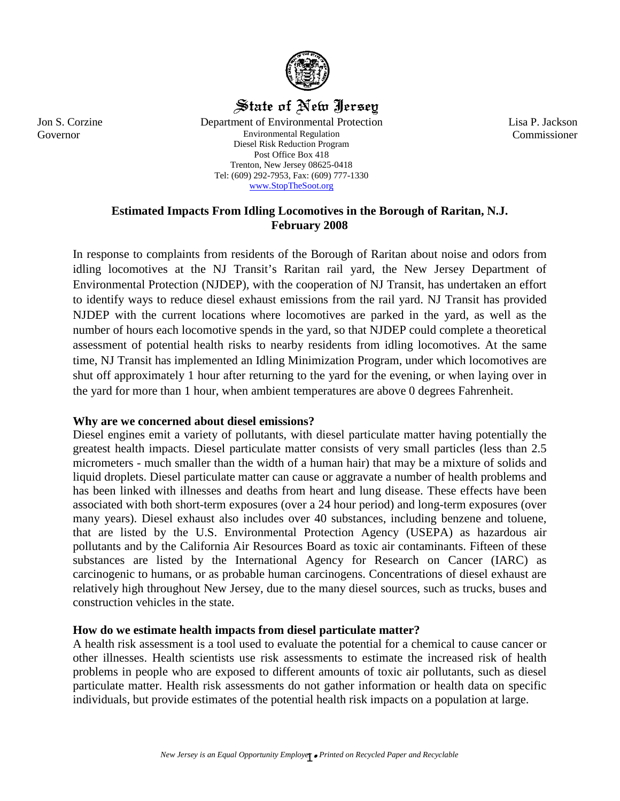

# State of New Jersey

Department of Environmental Protection Environmental Regulation Diesel Risk Reduction Program Post Office Box 418 Trenton, New Jersey 08625-0418 Tel: (609) 292-7953, Fax: (609) 777-1330 [www.StopTheSoot.org](http://www.stopthesoot.org/)

Lisa P. Jackson Commissioner

## **Estimated Impacts From Idling Locomotives in the Borough of Raritan, N.J. February 2008**

In response to complaints from residents of the Borough of Raritan about noise and odors from idling locomotives at the NJ Transit's Raritan rail yard, the New Jersey Department of Environmental Protection (NJDEP), with the cooperation of NJ Transit, has undertaken an effort to identify ways to reduce diesel exhaust emissions from the rail yard. NJ Transit has provided NJDEP with the current locations where locomotives are parked in the yard, as well as the number of hours each locomotive spends in the yard, so that NJDEP could complete a theoretical assessment of potential health risks to nearby residents from idling locomotives. At the same time, NJ Transit has implemented an Idling Minimization Program, under which locomotives are shut off approximately 1 hour after returning to the yard for the evening, or when laying over in the yard for more than 1 hour, when ambient temperatures are above 0 degrees Fahrenheit.

## **Why are we concerned about diesel emissions?**

Diesel engines emit a variety of pollutants, with diesel particulate matter having potentially the greatest health impacts. Diesel particulate matter consists of very small particles (less than 2.5 micrometers - much smaller than the width of a human hair) that may be a mixture of solids and liquid droplets. Diesel particulate matter can cause or aggravate a number of health problems and has been linked with illnesses and deaths from heart and lung disease. These effects have been associated with both short-term exposures (over a 24 hour period) and long-term exposures (over many years). Diesel exhaust also includes over 40 substances, including benzene and toluene, that are listed by the U.S. Environmental Protection Agency (USEPA) as hazardous air pollutants and by the California Air Resources Board as toxic air contaminants. Fifteen of these substances are listed by the International Agency for Research on Cancer (IARC) as carcinogenic to humans, or as probable human carcinogens. Concentrations of diesel exhaust are relatively high throughout New Jersey, due to the many diesel sources, such as trucks, buses and construction vehicles in the state.

# **How do we estimate health impacts from diesel particulate matter?**

A health risk assessment is a tool used to evaluate the potential for a chemical to cause cancer or other illnesses. Health scientists use risk assessments to estimate the increased risk of health problems in people who are exposed to different amounts of toxic air pollutants, such as diesel particulate matter. Health risk assessments do not gather information or health data on specific individuals, but provide estimates of the potential health risk impacts on a population at large.

Jon S. Corzine Governor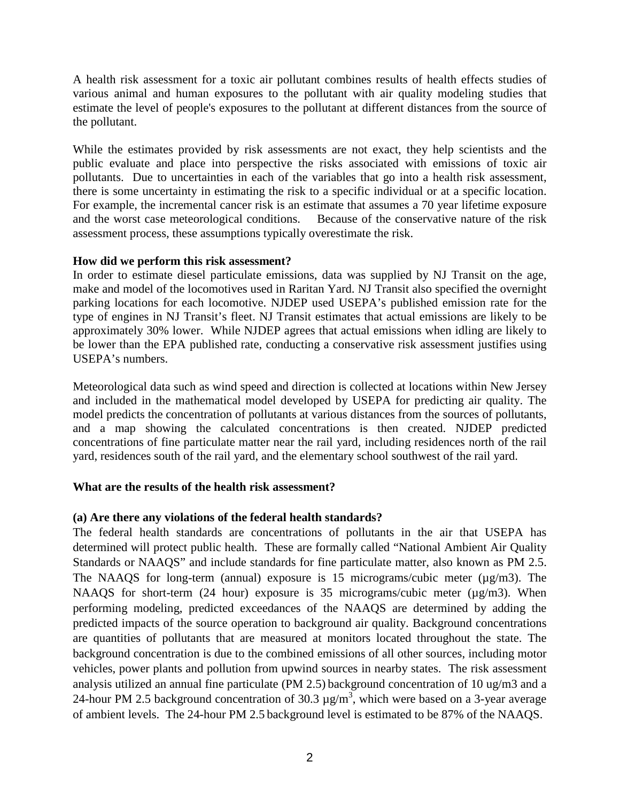A health risk assessment for a toxic air pollutant combines results of health effects studies of various animal and human exposures to the pollutant with air quality modeling studies that estimate the level of people's exposures to the pollutant at different distances from the source of the pollutant.

While the estimates provided by risk assessments are not exact, they help scientists and the public evaluate and place into perspective the risks associated with emissions of toxic air pollutants. Due to uncertainties in each of the variables that go into a health risk assessment, there is some uncertainty in estimating the risk to a specific individual or at a specific location. For example, the incremental cancer risk is an estimate that assumes a 70 year lifetime exposure and the worst case meteorological conditions. Because of the conservative nature of the risk assessment process, these assumptions typically overestimate the risk.

## **How did we perform this risk assessment?**

In order to estimate diesel particulate emissions, data was supplied by NJ Transit on the age, make and model of the locomotives used in Raritan Yard. NJ Transit also specified the overnight parking locations for each locomotive. NJDEP used USEPA's published emission rate for the type of engines in NJ Transit's fleet. NJ Transit estimates that actual emissions are likely to be approximately 30% lower. While NJDEP agrees that actual emissions when idling are likely to be lower than the EPA published rate, conducting a conservative risk assessment justifies using USEPA's numbers.

Meteorological data such as wind speed and direction is collected at locations within New Jersey and included in the mathematical model developed by USEPA for predicting air quality. The model predicts the concentration of pollutants at various distances from the sources of pollutants, and a map showing the calculated concentrations is then created. NJDEP predicted concentrations of fine particulate matter near the rail yard, including residences north of the rail yard, residences south of the rail yard, and the elementary school southwest of the rail yard.

# **What are the results of the health risk assessment?**

# **(a) Are there any violations of the federal health standards?**

The federal health standards are concentrations of pollutants in the air that USEPA has determined will protect public health. These are formally called "National Ambient Air Quality Standards or NAAQS" and include standards for fine particulate matter, also known as PM 2.5. The NAAQS for long-term (annual) exposure is 15 micrograms/cubic meter ( $\mu$ g/m3). The NAAQS for short-term (24 hour) exposure is 35 micrograms/cubic meter ( $\mu$ g/m3). When performing modeling, predicted exceedances of the NAAQS are determined by adding the predicted impacts of the source operation to background air quality. Background concentrations are quantities of pollutants that are measured at monitors located throughout the state. The background concentration is due to the combined emissions of all other sources, including motor vehicles, power plants and pollution from upwind sources in nearby states. The risk assessment analysis utilized an annual fine particulate (PM 2.5) background concentration of 10 ug/m3 and a 24-hour PM 2.5 background concentration of 30.3  $\mu$ g/m<sup>3</sup>, which were based on a 3-year average of ambient levels. The 24-hour PM 2.5 background level is estimated to be 87% of the NAAQS.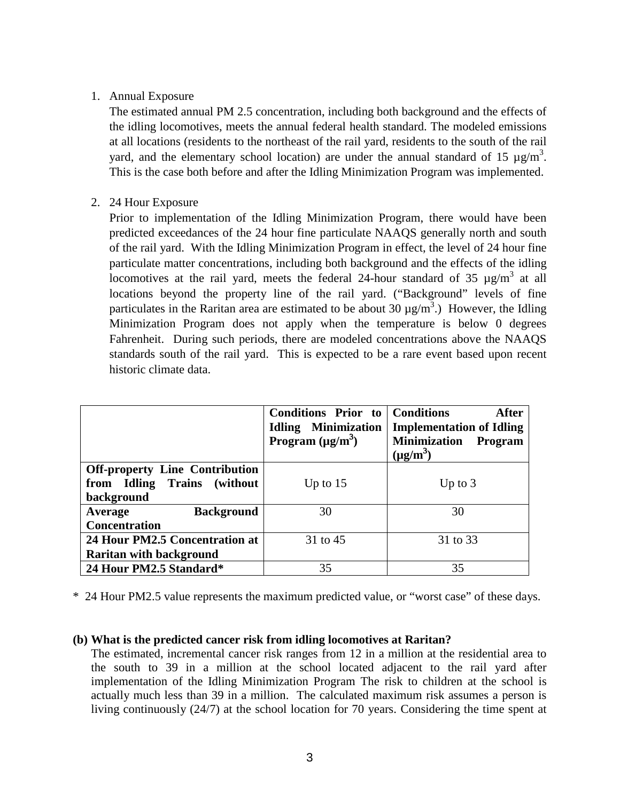## 1. Annual Exposure

The estimated annual PM 2.5 concentration, including both background and the effects of the idling locomotives, meets the annual federal health standard. The modeled emissions at all locations (residents to the northeast of the rail yard, residents to the south of the rail yard, and the elementary school location) are under the annual standard of 15  $\mu$ g/m<sup>3</sup>. This is the case both before and after the Idling Minimization Program was implemented.

2. 24 Hour Exposure

Prior to implementation of the Idling Minimization Program, there would have been predicted exceedances of the 24 hour fine particulate NAAQS generally north and south of the rail yard. With the Idling Minimization Program in effect, the level of 24 hour fine particulate matter concentrations, including both background and the effects of the idling locomotives at the rail yard, meets the federal 24-hour standard of 35  $\mu$ g/m<sup>3</sup> at all locations beyond the property line of the rail yard. ("Background" levels of fine particulates in the Raritan area are estimated to be about 30  $\mu$ g/m<sup>3</sup>.) However, the Idling Minimization Program does not apply when the temperature is below 0 degrees Fahrenheit. During such periods, there are modeled concentrations above the NAAQS standards south of the rail yard. This is expected to be a rare event based upon recent historic climate data.

|                                                                                        | <b>Conditions Prior to</b><br><b>Idling Minimization</b><br>Program $(\mu g/m^3)$ | <b>Conditions</b><br>After<br><b>Implementation of Idling</b><br><b>Minimization</b><br><b>Program</b><br>$(\mu g/m^3)$ |
|----------------------------------------------------------------------------------------|-----------------------------------------------------------------------------------|-------------------------------------------------------------------------------------------------------------------------|
| <b>Off-property Line Contribution</b><br>from Idling<br>Trains (without)<br>background | Up to $15$                                                                        | Up to $3$                                                                                                               |
| <b>Background</b><br>Average<br><b>Concentration</b>                                   | 30                                                                                | 30                                                                                                                      |
| 24 Hour PM2.5 Concentration at<br><b>Raritan with background</b>                       | 31 to 45                                                                          | 31 to 33                                                                                                                |
| 24 Hour PM2.5 Standard*                                                                | 35                                                                                | 35                                                                                                                      |

\* 24 Hour PM2.5 value represents the maximum predicted value, or "worst case" of these days.

## **(b) What is the predicted cancer risk from idling locomotives at Raritan?**

The estimated, incremental cancer risk ranges from 12 in a million at the residential area to the south to 39 in a million at the school located adjacent to the rail yard after implementation of the Idling Minimization Program The risk to children at the school is actually much less than 39 in a million. The calculated maximum risk assumes a person is living continuously (24/7) at the school location for 70 years. Considering the time spent at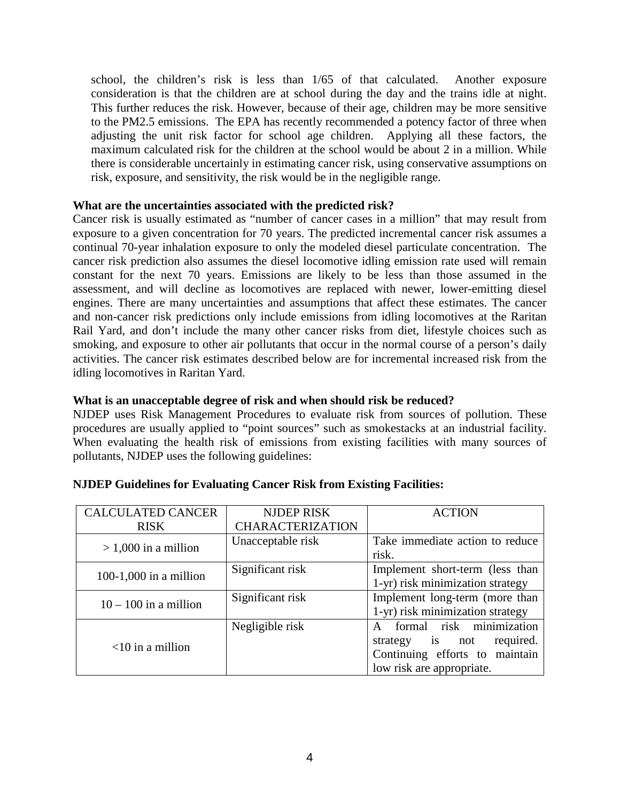school, the children's risk is less than 1/65 of that calculated. Another exposure consideration is that the children are at school during the day and the trains idle at night. This further reduces the risk. However, because of their age, children may be more sensitive to the PM2.5 emissions. The EPA has recently recommended a potency factor of three when adjusting the unit risk factor for school age children. Applying all these factors, the maximum calculated risk for the children at the school would be about 2 in a million. While there is considerable uncertainly in estimating cancer risk, using conservative assumptions on risk, exposure, and sensitivity, the risk would be in the negligible range.

## **What are the uncertainties associated with the predicted risk?**

Cancer risk is usually estimated as "number of cancer cases in a million" that may result from exposure to a given concentration for 70 years. The predicted incremental cancer risk assumes a continual 70-year inhalation exposure to only the modeled diesel particulate concentration. The cancer risk prediction also assumes the diesel locomotive idling emission rate used will remain constant for the next 70 years. Emissions are likely to be less than those assumed in the assessment, and will decline as locomotives are replaced with newer, lower-emitting diesel engines. There are many uncertainties and assumptions that affect these estimates. The cancer and non-cancer risk predictions only include emissions from idling locomotives at the Raritan Rail Yard, and don't include the many other cancer risks from diet, lifestyle choices such as smoking, and exposure to other air pollutants that occur in the normal course of a person's daily activities. The cancer risk estimates described below are for incremental increased risk from the idling locomotives in Raritan Yard.

#### **What is an unacceptable degree of risk and when should risk be reduced?**

NJDEP uses Risk Management Procedures to evaluate risk from sources of pollution. These procedures are usually applied to "point sources" such as smokestacks at an industrial facility. When evaluating the health risk of emissions from existing facilities with many sources of pollutants, NJDEP uses the following guidelines:

| <b>CALCULATED CANCER</b> | <b>NJDEP RISK</b>       | <b>ACTION</b>                            |
|--------------------------|-------------------------|------------------------------------------|
| <b>RISK</b>              | <b>CHARACTERIZATION</b> |                                          |
| $> 1,000$ in a million   | Unacceptable risk       | Take immediate action to reduce          |
|                          |                         | risk.                                    |
| $100-1,000$ in a million | Significant risk        | Implement short-term (less than          |
|                          |                         | 1-yr) risk minimization strategy         |
| $10 - 100$ in a million  | Significant risk        | Implement long-term (more than           |
|                          |                         | 1-yr) risk minimization strategy         |
|                          | Negligible risk         | formal risk minimization<br>$\mathsf{A}$ |
| $<$ 10 in a million      |                         | strategy is not<br>required.             |
|                          |                         | Continuing efforts to maintain           |
|                          |                         | low risk are appropriate.                |

## **NJDEP Guidelines for Evaluating Cancer Risk from Existing Facilities:**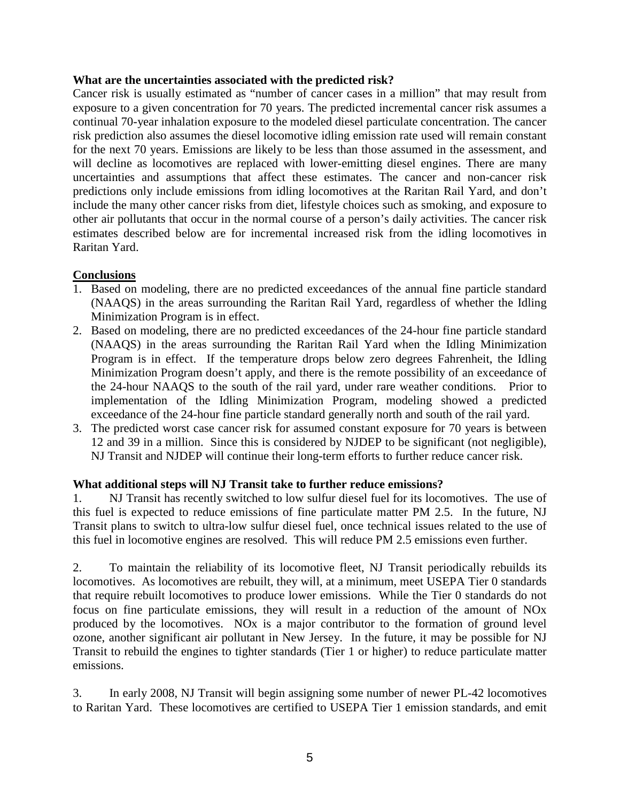#### **What are the uncertainties associated with the predicted risk?**

Cancer risk is usually estimated as "number of cancer cases in a million" that may result from exposure to a given concentration for 70 years. The predicted incremental cancer risk assumes a continual 70-year inhalation exposure to the modeled diesel particulate concentration. The cancer risk prediction also assumes the diesel locomotive idling emission rate used will remain constant for the next 70 years. Emissions are likely to be less than those assumed in the assessment, and will decline as locomotives are replaced with lower-emitting diesel engines. There are many uncertainties and assumptions that affect these estimates. The cancer and non-cancer risk predictions only include emissions from idling locomotives at the Raritan Rail Yard, and don't include the many other cancer risks from diet, lifestyle choices such as smoking, and exposure to other air pollutants that occur in the normal course of a person's daily activities. The cancer risk estimates described below are for incremental increased risk from the idling locomotives in Raritan Yard.

## **Conclusions**

- 1. Based on modeling, there are no predicted exceedances of the annual fine particle standard (NAAQS) in the areas surrounding the Raritan Rail Yard, regardless of whether the Idling Minimization Program is in effect.
- 2. Based on modeling, there are no predicted exceedances of the 24-hour fine particle standard (NAAQS) in the areas surrounding the Raritan Rail Yard when the Idling Minimization Program is in effect. If the temperature drops below zero degrees Fahrenheit, the Idling Minimization Program doesn't apply, and there is the remote possibility of an exceedance of the 24-hour NAAQS to the south of the rail yard, under rare weather conditions. Prior to implementation of the Idling Minimization Program, modeling showed a predicted exceedance of the 24-hour fine particle standard generally north and south of the rail yard.
- 3. The predicted worst case cancer risk for assumed constant exposure for 70 years is between 12 and 39 in a million. Since this is considered by NJDEP to be significant (not negligible), NJ Transit and NJDEP will continue their long-term efforts to further reduce cancer risk.

## **What additional steps will NJ Transit take to further reduce emissions?**

1. NJ Transit has recently switched to low sulfur diesel fuel for its locomotives. The use of this fuel is expected to reduce emissions of fine particulate matter PM 2.5. In the future, NJ Transit plans to switch to ultra-low sulfur diesel fuel, once technical issues related to the use of this fuel in locomotive engines are resolved. This will reduce PM 2.5 emissions even further.

2. To maintain the reliability of its locomotive fleet, NJ Transit periodically rebuilds its locomotives. As locomotives are rebuilt, they will, at a minimum, meet USEPA Tier 0 standards that require rebuilt locomotives to produce lower emissions. While the Tier 0 standards do not focus on fine particulate emissions, they will result in a reduction of the amount of NOx produced by the locomotives. NOx is a major contributor to the formation of ground level ozone, another significant air pollutant in New Jersey. In the future, it may be possible for NJ Transit to rebuild the engines to tighter standards (Tier 1 or higher) to reduce particulate matter emissions.

3. In early 2008, NJ Transit will begin assigning some number of newer PL-42 locomotives to Raritan Yard. These locomotives are certified to USEPA Tier 1 emission standards, and emit